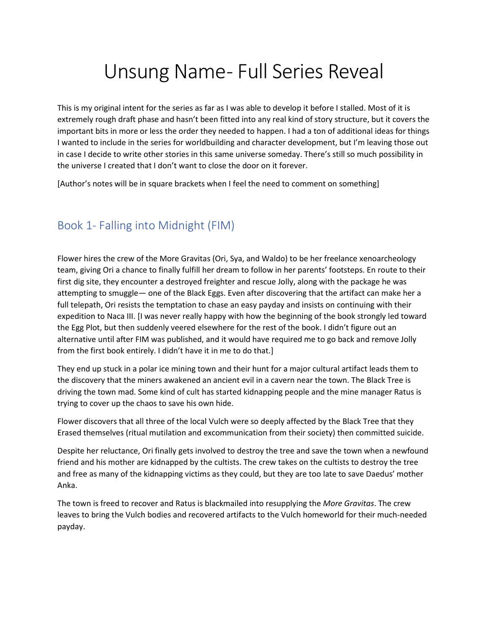# Unsung Name- Full Series Reveal

This is my original intent for the series as far as I was able to develop it before I stalled. Most of it is extremely rough draft phase and hasn't been fitted into any real kind of story structure, but it covers the important bits in more or less the order they needed to happen. I had a ton of additional ideas for things I wanted to include in the series for worldbuilding and character development, but I'm leaving those out in case I decide to write other stories in this same universe someday. There's still so much possibility in the universe I created that I don't want to close the door on it forever.

[Author's notes will be in square brackets when I feel the need to comment on something]

## Book 1- Falling into Midnight (FIM)

Flower hires the crew of the More Gravitas (Ori, Sya, and Waldo) to be her freelance xenoarcheology team, giving Ori a chance to finally fulfill her dream to follow in her parents' footsteps. En route to their first dig site, they encounter a destroyed freighter and rescue Jolly, along with the package he was attempting to smuggle— one of the Black Eggs. Even after discovering that the artifact can make her a full telepath, Ori resists the temptation to chase an easy payday and insists on continuing with their expedition to Naca III. [I was never really happy with how the beginning of the book strongly led toward the Egg Plot, but then suddenly veered elsewhere for the rest of the book. I didn't figure out an alternative until after FIM was published, and it would have required me to go back and remove Jolly from the first book entirely. I didn't have it in me to do that.]

They end up stuck in a polar ice mining town and their hunt for a major cultural artifact leads them to the discovery that the miners awakened an ancient evil in a cavern near the town. The Black Tree is driving the town mad. Some kind of cult has started kidnapping people and the mine manager Ratus is trying to cover up the chaos to save his own hide.

Flower discovers that all three of the local Vulch were so deeply affected by the Black Tree that they Erased themselves (ritual mutilation and excommunication from their society) then committed suicide.

Despite her reluctance, Ori finally gets involved to destroy the tree and save the town when a newfound friend and his mother are kidnapped by the cultists. The crew takes on the cultists to destroy the tree and free as many of the kidnapping victims as they could, but they are too late to save Daedus' mother Anka.

The town is freed to recover and Ratus is blackmailed into resupplying the *More Gravitas*. The crew leaves to bring the Vulch bodies and recovered artifacts to the Vulch homeworld for their much-needed payday.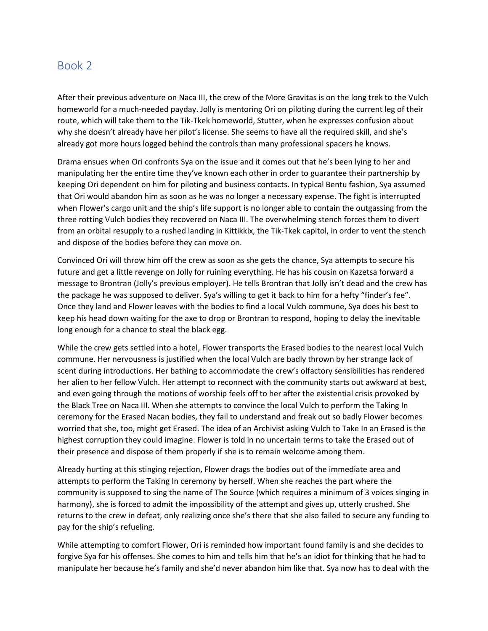#### Book 2

After their previous adventure on Naca III, the crew of the More Gravitas is on the long trek to the Vulch homeworld for a much-needed payday. Jolly is mentoring Ori on piloting during the current leg of their route, which will take them to the Tik-Tkek homeworld, Stutter, when he expresses confusion about why she doesn't already have her pilot's license. She seems to have all the required skill, and she's already got more hours logged behind the controls than many professional spacers he knows.

Drama ensues when Ori confronts Sya on the issue and it comes out that he's been lying to her and manipulating her the entire time they've known each other in order to guarantee their partnership by keeping Ori dependent on him for piloting and business contacts. In typical Bentu fashion, Sya assumed that Ori would abandon him as soon as he was no longer a necessary expense. The fight is interrupted when Flower's cargo unit and the ship's life support is no longer able to contain the outgassing from the three rotting Vulch bodies they recovered on Naca III. The overwhelming stench forces them to divert from an orbital resupply to a rushed landing in Kittikkix, the Tik-Tkek capitol, in order to vent the stench and dispose of the bodies before they can move on.

Convinced Ori will throw him off the crew as soon as she gets the chance, Sya attempts to secure his future and get a little revenge on Jolly for ruining everything. He has his cousin on Kazetsa forward a message to Brontran (Jolly's previous employer). He tells Brontran that Jolly isn't dead and the crew has the package he was supposed to deliver. Sya's willing to get it back to him for a hefty "finder's fee". Once they land and Flower leaves with the bodies to find a local Vulch commune, Sya does his best to keep his head down waiting for the axe to drop or Brontran to respond, hoping to delay the inevitable long enough for a chance to steal the black egg.

While the crew gets settled into a hotel, Flower transports the Erased bodies to the nearest local Vulch commune. Her nervousness is justified when the local Vulch are badly thrown by her strange lack of scent during introductions. Her bathing to accommodate the crew's olfactory sensibilities has rendered her alien to her fellow Vulch. Her attempt to reconnect with the community starts out awkward at best, and even going through the motions of worship feels off to her after the existential crisis provoked by the Black Tree on Naca III. When she attempts to convince the local Vulch to perform the Taking In ceremony for the Erased Nacan bodies, they fail to understand and freak out so badly Flower becomes worried that she, too, might get Erased. The idea of an Archivist asking Vulch to Take In an Erased is the highest corruption they could imagine. Flower is told in no uncertain terms to take the Erased out of their presence and dispose of them properly if she is to remain welcome among them.

Already hurting at this stinging rejection, Flower drags the bodies out of the immediate area and attempts to perform the Taking In ceremony by herself. When she reaches the part where the community is supposed to sing the name of The Source (which requires a minimum of 3 voices singing in harmony), she is forced to admit the impossibility of the attempt and gives up, utterly crushed. She returns to the crew in defeat, only realizing once she's there that she also failed to secure any funding to pay for the ship's refueling.

While attempting to comfort Flower, Ori is reminded how important found family is and she decides to forgive Sya for his offenses. She comes to him and tells him that he's an idiot for thinking that he had to manipulate her because he's family and she'd never abandon him like that. Sya now has to deal with the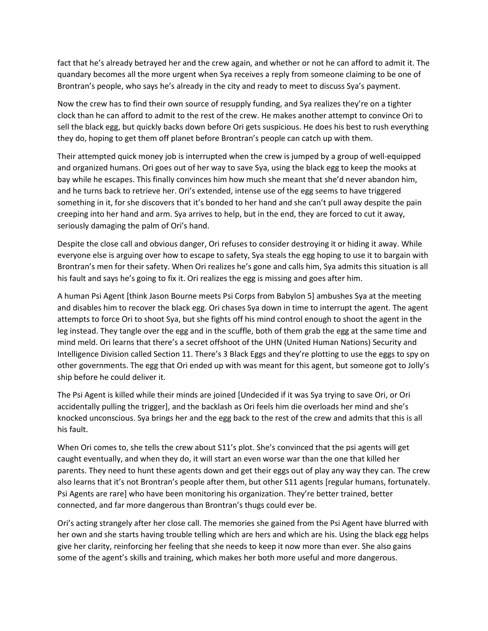fact that he's already betrayed her and the crew again, and whether or not he can afford to admit it. The quandary becomes all the more urgent when Sya receives a reply from someone claiming to be one of Brontran's people, who says he's already in the city and ready to meet to discuss Sya's payment.

Now the crew has to find their own source of resupply funding, and Sya realizes they're on a tighter clock than he can afford to admit to the rest of the crew. He makes another attempt to convince Ori to sell the black egg, but quickly backs down before Ori gets suspicious. He does his best to rush everything they do, hoping to get them off planet before Brontran's people can catch up with them.

Their attempted quick money job is interrupted when the crew is jumped by a group of well-equipped and organized humans. Ori goes out of her way to save Sya, using the black egg to keep the mooks at bay while he escapes. This finally convinces him how much she meant that she'd never abandon him, and he turns back to retrieve her. Ori's extended, intense use of the egg seems to have triggered something in it, for she discovers that it's bonded to her hand and she can't pull away despite the pain creeping into her hand and arm. Sya arrives to help, but in the end, they are forced to cut it away, seriously damaging the palm of Ori's hand.

Despite the close call and obvious danger, Ori refuses to consider destroying it or hiding it away. While everyone else is arguing over how to escape to safety, Sya steals the egg hoping to use it to bargain with Brontran's men for their safety. When Ori realizes he's gone and calls him, Sya admits this situation is all his fault and says he's going to fix it. Ori realizes the egg is missing and goes after him.

A human Psi Agent [think Jason Bourne meets Psi Corps from Babylon 5] ambushes Sya at the meeting and disables him to recover the black egg. Ori chases Sya down in time to interrupt the agent. The agent attempts to force Ori to shoot Sya, but she fights off his mind control enough to shoot the agent in the leg instead. They tangle over the egg and in the scuffle, both of them grab the egg at the same time and mind meld. Ori learns that there's a secret offshoot of the UHN (United Human Nations) Security and Intelligence Division called Section 11. There's 3 Black Eggs and they're plotting to use the eggs to spy on other governments. The egg that Ori ended up with was meant for this agent, but someone got to Jolly's ship before he could deliver it.

The Psi Agent is killed while their minds are joined [Undecided if it was Sya trying to save Ori, or Ori accidentally pulling the trigger], and the backlash as Ori feels him die overloads her mind and she's knocked unconscious. Sya brings her and the egg back to the rest of the crew and admits that this is all his fault.

When Ori comes to, she tells the crew about S11's plot. She's convinced that the psi agents will get caught eventually, and when they do, it will start an even worse war than the one that killed her parents. They need to hunt these agents down and get their eggs out of play any way they can. The crew also learns that it's not Brontran's people after them, but other S11 agents [regular humans, fortunately. Psi Agents are rare] who have been monitoring his organization. They're better trained, better connected, and far more dangerous than Brontran's thugs could ever be.

Ori's acting strangely after her close call. The memories she gained from the Psi Agent have blurred with her own and she starts having trouble telling which are hers and which are his. Using the black egg helps give her clarity, reinforcing her feeling that she needs to keep it now more than ever. She also gains some of the agent's skills and training, which makes her both more useful and more dangerous.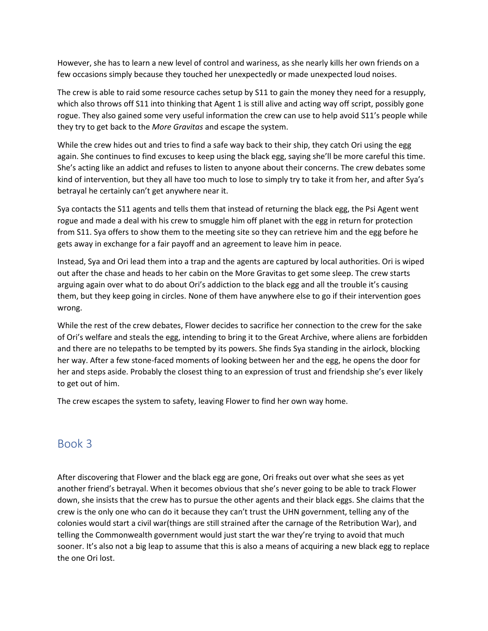However, she has to learn a new level of control and wariness, as she nearly kills her own friends on a few occasions simply because they touched her unexpectedly or made unexpected loud noises.

The crew is able to raid some resource caches setup by S11 to gain the money they need for a resupply, which also throws off S11 into thinking that Agent 1 is still alive and acting way off script, possibly gone rogue. They also gained some very useful information the crew can use to help avoid S11's people while they try to get back to the *More Gravitas* and escape the system.

While the crew hides out and tries to find a safe way back to their ship, they catch Ori using the egg again. She continues to find excuses to keep using the black egg, saying she'll be more careful this time. She's acting like an addict and refuses to listen to anyone about their concerns. The crew debates some kind of intervention, but they all have too much to lose to simply try to take it from her, and after Sya's betrayal he certainly can't get anywhere near it.

Sya contacts the S11 agents and tells them that instead of returning the black egg, the Psi Agent went rogue and made a deal with his crew to smuggle him off planet with the egg in return for protection from S11. Sya offers to show them to the meeting site so they can retrieve him and the egg before he gets away in exchange for a fair payoff and an agreement to leave him in peace.

Instead, Sya and Ori lead them into a trap and the agents are captured by local authorities. Ori is wiped out after the chase and heads to her cabin on the More Gravitas to get some sleep. The crew starts arguing again over what to do about Ori's addiction to the black egg and all the trouble it's causing them, but they keep going in circles. None of them have anywhere else to go if their intervention goes wrong.

While the rest of the crew debates, Flower decides to sacrifice her connection to the crew for the sake of Ori's welfare and steals the egg, intending to bring it to the Great Archive, where aliens are forbidden and there are no telepaths to be tempted by its powers. She finds Sya standing in the airlock, blocking her way. After a few stone-faced moments of looking between her and the egg, he opens the door for her and steps aside. Probably the closest thing to an expression of trust and friendship she's ever likely to get out of him.

The crew escapes the system to safety, leaving Flower to find her own way home.

### Book 3

After discovering that Flower and the black egg are gone, Ori freaks out over what she sees as yet another friend's betrayal. When it becomes obvious that she's never going to be able to track Flower down, she insists that the crew has to pursue the other agents and their black eggs. She claims that the crew is the only one who can do it because they can't trust the UHN government, telling any of the colonies would start a civil war(things are still strained after the carnage of the Retribution War), and telling the Commonwealth government would just start the war they're trying to avoid that much sooner. It's also not a big leap to assume that this is also a means of acquiring a new black egg to replace the one Ori lost.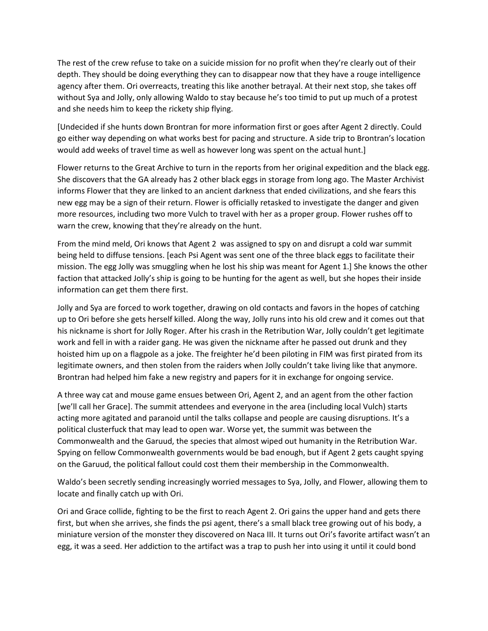The rest of the crew refuse to take on a suicide mission for no profit when they're clearly out of their depth. They should be doing everything they can to disappear now that they have a rouge intelligence agency after them. Ori overreacts, treating this like another betrayal. At their next stop, she takes off without Sya and Jolly, only allowing Waldo to stay because he's too timid to put up much of a protest and she needs him to keep the rickety ship flying.

[Undecided if she hunts down Brontran for more information first or goes after Agent 2 directly. Could go either way depending on what works best for pacing and structure. A side trip to Brontran's location would add weeks of travel time as well as however long was spent on the actual hunt.]

Flower returns to the Great Archive to turn in the reports from her original expedition and the black egg. She discovers that the GA already has 2 other black eggs in storage from long ago. The Master Archivist informs Flower that they are linked to an ancient darkness that ended civilizations, and she fears this new egg may be a sign of their return. Flower is officially retasked to investigate the danger and given more resources, including two more Vulch to travel with her as a proper group. Flower rushes off to warn the crew, knowing that they're already on the hunt.

From the mind meld, Ori knows that Agent 2 was assigned to spy on and disrupt a cold war summit being held to diffuse tensions. [each Psi Agent was sent one of the three black eggs to facilitate their mission. The egg Jolly was smuggling when he lost his ship was meant for Agent 1.] She knows the other faction that attacked Jolly's ship is going to be hunting for the agent as well, but she hopes their inside information can get them there first.

Jolly and Sya are forced to work together, drawing on old contacts and favors in the hopes of catching up to Ori before she gets herself killed. Along the way, Jolly runs into his old crew and it comes out that his nickname is short for Jolly Roger. After his crash in the Retribution War, Jolly couldn't get legitimate work and fell in with a raider gang. He was given the nickname after he passed out drunk and they hoisted him up on a flagpole as a joke. The freighter he'd been piloting in FIM was first pirated from its legitimate owners, and then stolen from the raiders when Jolly couldn't take living like that anymore. Brontran had helped him fake a new registry and papers for it in exchange for ongoing service.

A three way cat and mouse game ensues between Ori, Agent 2, and an agent from the other faction [we'll call her Grace]. The summit attendees and everyone in the area (including local Vulch) starts acting more agitated and paranoid until the talks collapse and people are causing disruptions. It's a political clusterfuck that may lead to open war. Worse yet, the summit was between the Commonwealth and the Garuud, the species that almost wiped out humanity in the Retribution War. Spying on fellow Commonwealth governments would be bad enough, but if Agent 2 gets caught spying on the Garuud, the political fallout could cost them their membership in the Commonwealth.

Waldo's been secretly sending increasingly worried messages to Sya, Jolly, and Flower, allowing them to locate and finally catch up with Ori.

Ori and Grace collide, fighting to be the first to reach Agent 2. Ori gains the upper hand and gets there first, but when she arrives, she finds the psi agent, there's a small black tree growing out of his body, a miniature version of the monster they discovered on Naca III. It turns out Ori's favorite artifact wasn't an egg, it was a seed. Her addiction to the artifact was a trap to push her into using it until it could bond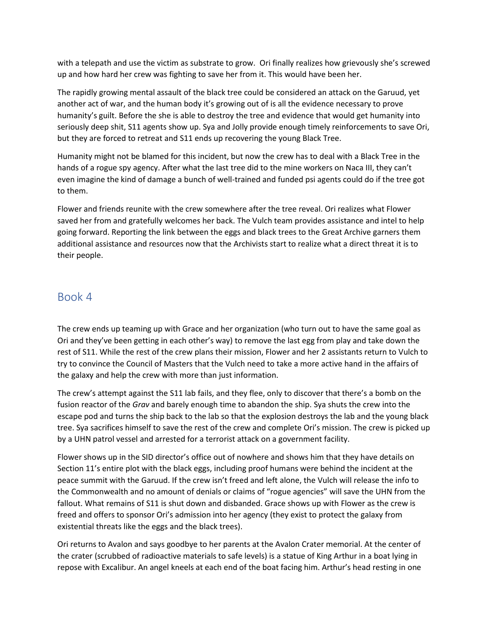with a telepath and use the victim as substrate to grow. Ori finally realizes how grievously she's screwed up and how hard her crew was fighting to save her from it. This would have been her.

The rapidly growing mental assault of the black tree could be considered an attack on the Garuud, yet another act of war, and the human body it's growing out of is all the evidence necessary to prove humanity's guilt. Before the she is able to destroy the tree and evidence that would get humanity into seriously deep shit, S11 agents show up. Sya and Jolly provide enough timely reinforcements to save Ori, but they are forced to retreat and S11 ends up recovering the young Black Tree.

Humanity might not be blamed for this incident, but now the crew has to deal with a Black Tree in the hands of a rogue spy agency. After what the last tree did to the mine workers on Naca III, they can't even imagine the kind of damage a bunch of well-trained and funded psi agents could do if the tree got to them.

Flower and friends reunite with the crew somewhere after the tree reveal. Ori realizes what Flower saved her from and gratefully welcomes her back. The Vulch team provides assistance and intel to help going forward. Reporting the link between the eggs and black trees to the Great Archive garners them additional assistance and resources now that the Archivists start to realize what a direct threat it is to their people.

#### Book 4

The crew ends up teaming up with Grace and her organization (who turn out to have the same goal as Ori and they've been getting in each other's way) to remove the last egg from play and take down the rest of S11. While the rest of the crew plans their mission, Flower and her 2 assistants return to Vulch to try to convince the Council of Masters that the Vulch need to take a more active hand in the affairs of the galaxy and help the crew with more than just information.

The crew's attempt against the S11 lab fails, and they flee, only to discover that there's a bomb on the fusion reactor of the *Grav* and barely enough time to abandon the ship. Sya shuts the crew into the escape pod and turns the ship back to the lab so that the explosion destroys the lab and the young black tree. Sya sacrifices himself to save the rest of the crew and complete Ori's mission. The crew is picked up by a UHN patrol vessel and arrested for a terrorist attack on a government facility.

Flower shows up in the SID director's office out of nowhere and shows him that they have details on Section 11's entire plot with the black eggs, including proof humans were behind the incident at the peace summit with the Garuud. If the crew isn't freed and left alone, the Vulch will release the info to the Commonwealth and no amount of denials or claims of "rogue agencies" will save the UHN from the fallout. What remains of S11 is shut down and disbanded. Grace shows up with Flower as the crew is freed and offers to sponsor Ori's admission into her agency (they exist to protect the galaxy from existential threats like the eggs and the black trees).

Ori returns to Avalon and says goodbye to her parents at the Avalon Crater memorial. At the center of the crater (scrubbed of radioactive materials to safe levels) is a statue of King Arthur in a boat lying in repose with Excalibur. An angel kneels at each end of the boat facing him. Arthur's head resting in one